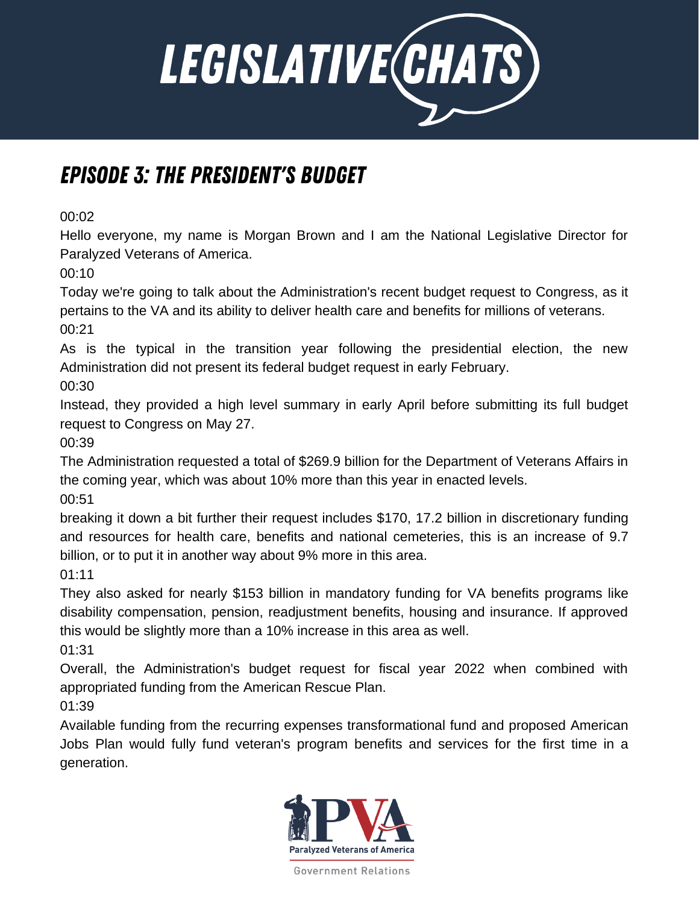

## Episode 3: the President's Budget

00:02

Hello everyone, my name is Morgan Brown and I am the National Legislative Director for Paralyzed Veterans of America.

00:10

Today we're going to talk about the Administration's recent budget request to Congress, as it pertains to the VA and its ability to deliver health care and benefits for millions of veterans. 00:21

As is the typical in the transition year following the presidential election, the new Administration did not present its federal budget request in early February.

00:30

Instead, they provided a high level summary in early April before submitting its full budget request to Congress on May 27.

00:39

The Administration requested a total of \$269.9 billion for the Department of Veterans Affairs in the coming year, which was about 10% more than this year in enacted levels.

00:51

breaking it down a bit further their request includes \$170, 17.2 billion in discretionary funding and resources for health care, benefits and national cemeteries, this is an increase of 9.7 billion, or to put it in another way about 9% more in this area.

01:11

They also asked for nearly \$153 billion in mandatory funding for VA benefits programs like disability compensation, pension, readjustment benefits, housing and insurance. If approved this would be slightly more than a 10% increase in this area as well.

01:31

Overall, the Administration's budget request for fiscal year 2022 when combined with appropriated funding from the American Rescue Plan.

01:39

Available funding from the recurring expenses transformational fund and proposed American Jobs Plan would fully fund veteran's program benefits and services for the first time in a generation.

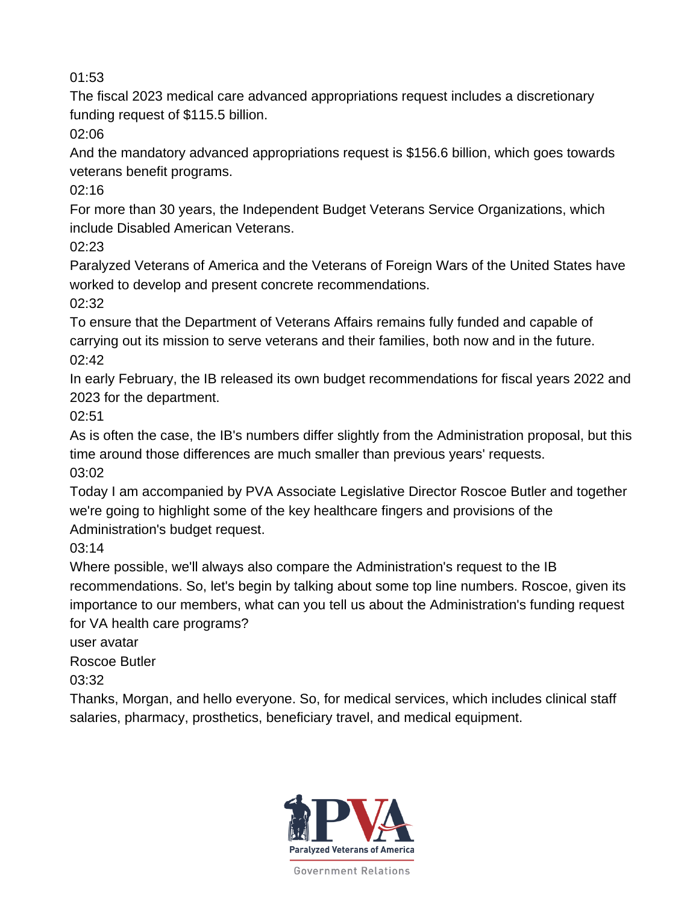The fiscal 2023 medical care advanced appropriations request includes a discretionary funding request of \$115.5 billion.

02:06

And the mandatory advanced appropriations request is \$156.6 billion, which goes towards veterans benefit programs.

 $02.16$ 

For more than 30 years, the Independent Budget Veterans Service Organizations, which include Disabled American Veterans.

02:23

Paralyzed Veterans of America and the Veterans of Foreign Wars of the United States have worked to develop and present concrete recommendations.

02:32

To ensure that the Department of Veterans Affairs remains fully funded and capable of carrying out its mission to serve veterans and their families, both now and in the future. 02:42

In early February, the IB released its own budget recommendations for fiscal years 2022 and 2023 for the department.

02:51

As is often the case, the IB's numbers differ slightly from the Administration proposal, but this time around those differences are much smaller than previous years' requests. 03:02

Today I am accompanied by PVA Associate Legislative Director Roscoe Butler and together we're going to highlight some of the key healthcare fingers and provisions of the Administration's budget request.

03:14

Where possible, we'll always also compare the Administration's request to the IB recommendations. So, let's begin by talking about some top line numbers. Roscoe, given its importance to our members, what can you tell us about the Administration's funding request for VA health care programs?

user avatar

Roscoe Butler

03:32

Thanks, Morgan, and hello everyone. So, for medical services, which includes clinical staff salaries, pharmacy, prosthetics, beneficiary travel, and medical equipment.

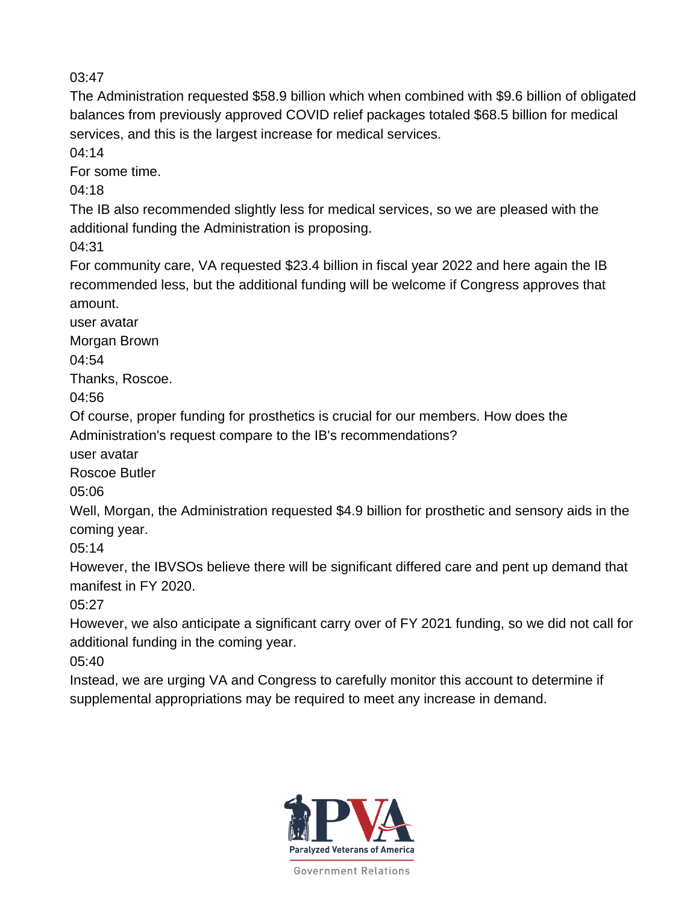The Administration requested \$58.9 billion which when combined with \$9.6 billion of obligated balances from previously approved COVID relief packages totaled \$68.5 billion for medical services, and this is the largest increase for medical services.

04:14

For some time.

04:18

The IB also recommended slightly less for medical services, so we are pleased with the additional funding the Administration is proposing.

04:31

For community care, VA requested \$23.4 billion in fiscal year 2022 and here again the IB recommended less, but the additional funding will be welcome if Congress approves that amount.

user avatar

Morgan Brown

04:54

Thanks, Roscoe.

04:56

Of course, proper funding for prosthetics is crucial for our members. How does the Administration's request compare to the IB's recommendations?

user avatar

Roscoe Butler

05:06

Well, Morgan, the Administration requested \$4.9 billion for prosthetic and sensory aids in the coming year.

05:14

However, the IBVSOs believe there will be significant differed care and pent up demand that manifest in FY 2020.

05:27

However, we also anticipate a significant carry over of FY 2021 funding, so we did not call for additional funding in the coming year.

05:40

Instead, we are urging VA and Congress to carefully monitor this account to determine if supplemental appropriations may be required to meet any increase in demand.

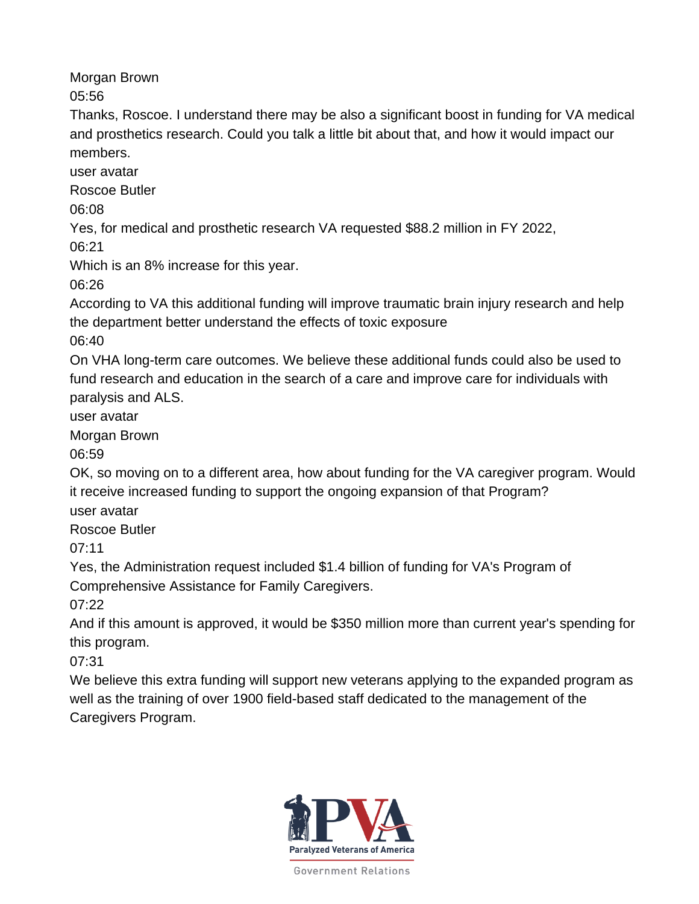Morgan Brown

05:56

Thanks, Roscoe. I understand there may be also a significant boost in funding for VA medical and prosthetics research. Could you talk a little bit about that, and how it would impact our members.

user avatar

Roscoe Butler

06:08

Yes, for medical and prosthetic research VA requested \$88.2 million in FY 2022,

06:21

Which is an 8% increase for this year.

06:26

According to VA this additional funding will improve traumatic brain injury research and help the department better understand the effects of toxic exposure

06:40

On VHA long-term care outcomes. We believe these additional funds could also be used to fund research and education in the search of a care and improve care for individuals with paralysis and ALS.

user avatar

Morgan Brown

06:59

OK, so moving on to a different area, how about funding for the VA caregiver program. Would it receive increased funding to support the ongoing expansion of that Program?

user avatar

Roscoe Butler

07:11

Yes, the Administration request included \$1.4 billion of funding for VA's Program of Comprehensive Assistance for Family Caregivers.

07:22

And if this amount is approved, it would be \$350 million more than current year's spending for this program.

07:31

We believe this extra funding will support new veterans applying to the expanded program as well as the training of over 1900 field-based staff dedicated to the management of the Caregivers Program.

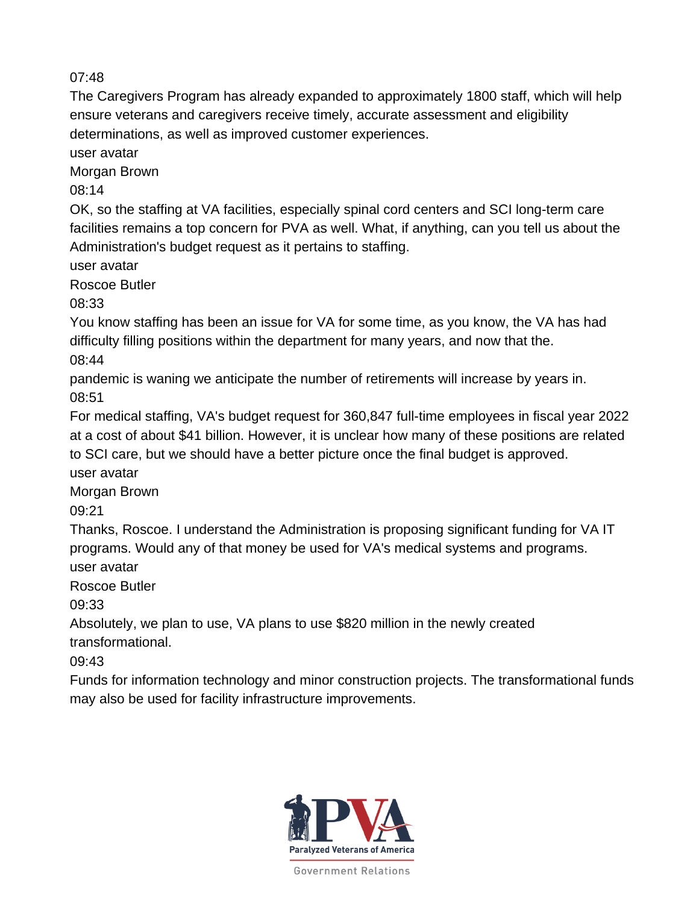The Caregivers Program has already expanded to approximately 1800 staff, which will help ensure veterans and caregivers receive timely, accurate assessment and eligibility determinations, as well as improved customer experiences.

user avatar

Morgan Brown

08:14

OK, so the staffing at VA facilities, especially spinal cord centers and SCI long-term care facilities remains a top concern for PVA as well. What, if anything, can you tell us about the Administration's budget request as it pertains to staffing.

user avatar

Roscoe Butler

08:33

You know staffing has been an issue for VA for some time, as you know, the VA has had difficulty filling positions within the department for many years, and now that the. 08:44

pandemic is waning we anticipate the number of retirements will increase by years in. 08:51

For medical staffing, VA's budget request for 360,847 full-time employees in fiscal year 2022 at a cost of about \$41 billion. However, it is unclear how many of these positions are related to SCI care, but we should have a better picture once the final budget is approved.

user avatar

Morgan Brown

09:21

Thanks, Roscoe. I understand the Administration is proposing significant funding for VA IT programs. Would any of that money be used for VA's medical systems and programs. user avatar

Roscoe Butler

09:33

Absolutely, we plan to use, VA plans to use \$820 million in the newly created transformational.

09:43

Funds for information technology and minor construction projects. The transformational funds may also be used for facility infrastructure improvements.

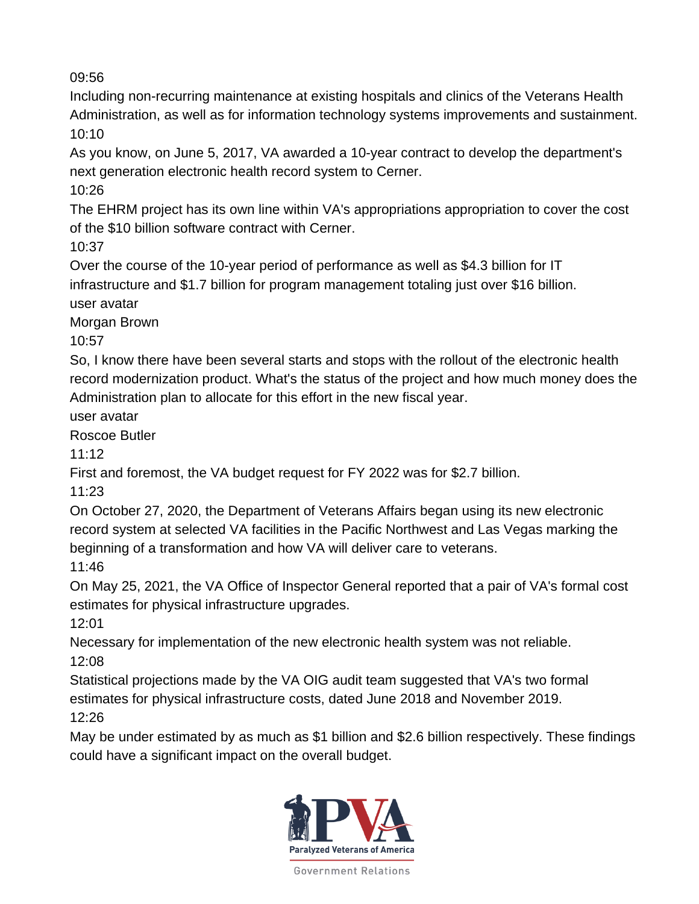Including non-recurring maintenance at existing hospitals and clinics of the Veterans Health Administration, as well as for information technology systems improvements and sustainment. 10:10

As you know, on June 5, 2017, VA awarded a 10-year contract to develop the department's next generation electronic health record system to Cerner.

10:26

The EHRM project has its own line within VA's appropriations appropriation to cover the cost of the \$10 billion software contract with Cerner.

10:37

Over the course of the 10-year period of performance as well as \$4.3 billion for IT infrastructure and \$1.7 billion for program management totaling just over \$16 billion. user avatar

Morgan Brown

10:57

So, I know there have been several starts and stops with the rollout of the electronic health record modernization product. What's the status of the project and how much money does the Administration plan to allocate for this effort in the new fiscal year.

user avatar

Roscoe Butler

11:12

First and foremost, the VA budget request for FY 2022 was for \$2.7 billion.

11:23

On October 27, 2020, the Department of Veterans Affairs began using its new electronic record system at selected VA facilities in the Pacific Northwest and Las Vegas marking the beginning of a transformation and how VA will deliver care to veterans.

11:46

On May 25, 2021, the VA Office of Inspector General reported that a pair of VA's formal cost estimates for physical infrastructure upgrades.

12:01

Necessary for implementation of the new electronic health system was not reliable. 12:08

Statistical projections made by the VA OIG audit team suggested that VA's two formal estimates for physical infrastructure costs, dated June 2018 and November 2019. 12:26

May be under estimated by as much as \$1 billion and \$2.6 billion respectively. These findings could have a significant impact on the overall budget.

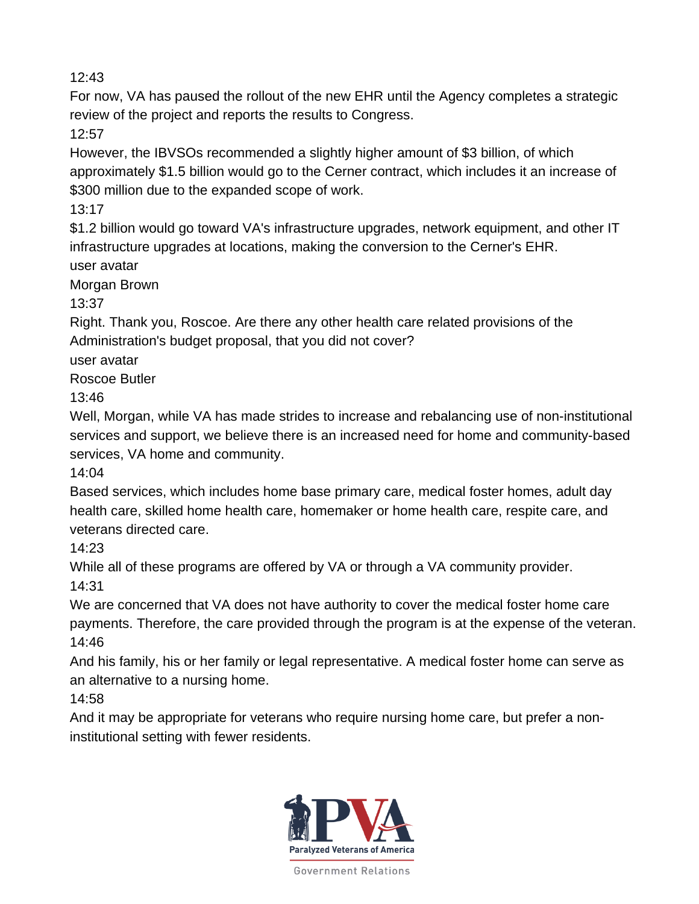For now, VA has paused the rollout of the new EHR until the Agency completes a strategic review of the project and reports the results to Congress.

12:57

However, the IBVSOs recommended a slightly higher amount of \$3 billion, of which approximately \$1.5 billion would go to the Cerner contract, which includes it an increase of \$300 million due to the expanded scope of work.

13:17

\$1.2 billion would go toward VA's infrastructure upgrades, network equipment, and other IT infrastructure upgrades at locations, making the conversion to the Cerner's EHR. user avatar

Morgan Brown

13:37

Right. Thank you, Roscoe. Are there any other health care related provisions of the Administration's budget proposal, that you did not cover?

user avatar

Roscoe Butler

13:46

Well, Morgan, while VA has made strides to increase and rebalancing use of non-institutional services and support, we believe there is an increased need for home and community-based services, VA home and community.

14:04

Based services, which includes home base primary care, medical foster homes, adult day health care, skilled home health care, homemaker or home health care, respite care, and veterans directed care.

14:23

While all of these programs are offered by VA or through a VA community provider. 14:31

We are concerned that VA does not have authority to cover the medical foster home care payments. Therefore, the care provided through the program is at the expense of the veteran. 14:46

And his family, his or her family or legal representative. A medical foster home can serve as an alternative to a nursing home.

14:58

And it may be appropriate for veterans who require nursing home care, but prefer a noninstitutional setting with fewer residents.